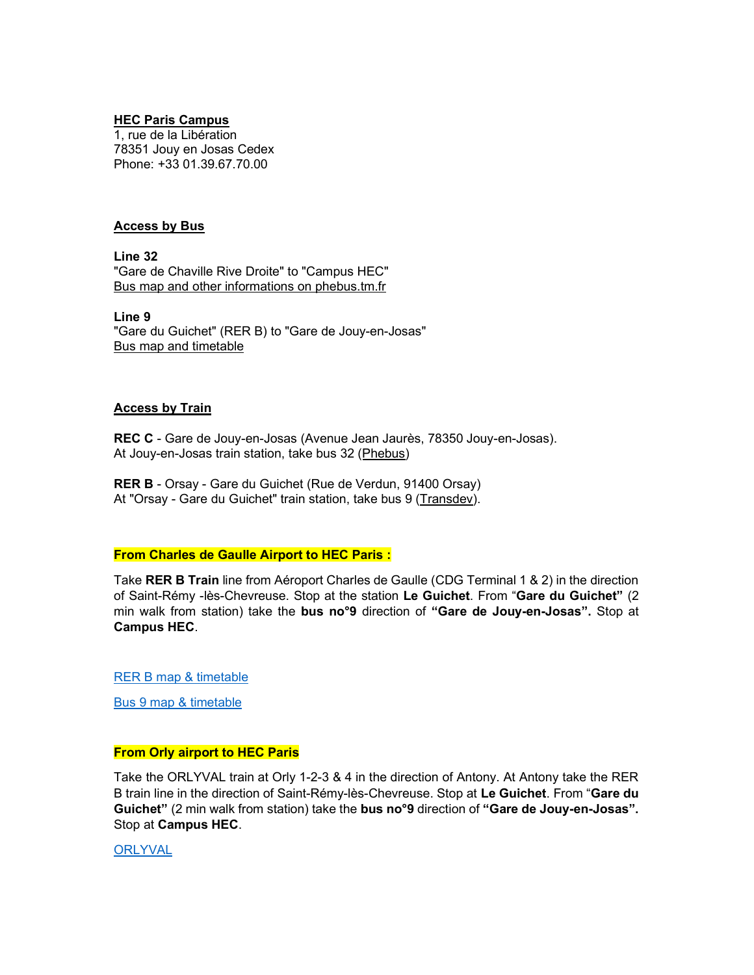### HEC Paris Campus

1, rue de la Libération 78351 Jouy en Josas Cedex Phone: +33 01.39.67.70.00

### Access by Bus

Line 32 "Gare de Chaville Rive Droite" to "Campus HEC" Bus map and other informations on phebus.tm.fr

Line 9 "Gare du Guichet" (RER B) to "Gare de Jouy-en-Josas" Bus map and timetable

#### Access by Train

REC C - Gare de Jouy-en-Josas (Avenue Jean Jaurès, 78350 Jouy-en-Josas). At Jouy-en-Josas train station, take bus 32 (Phebus)

RER B - Orsay - Gare du Guichet (Rue de Verdun, 91400 Orsay) At "Orsay - Gare du Guichet" train station, take bus 9 (Transdev).

## From Charles de Gaulle Airport to HEC Paris :

Take RER B Train line from Aéroport Charles de Gaulle (CDG Terminal 1 & 2) in the direction of Saint-Rémy -lès-Chevreuse. Stop at the station Le Guichet. From "Gare du Guichet" (2 min walk from station) take the bus no°9 direction of "Gare de Jouy-en-Josas". Stop at Campus HEC.

RER B map & timetable

Bus 9 map & timetable

## From Orly airport to HEC Paris

Take the ORLYVAL train at Orly 1-2-3 & 4 in the direction of Antony. At Antony take the RER B train line in the direction of Saint-Rémy-lès-Chevreuse. Stop at Le Guichet. From "Gare du Guichet" (2 min walk from station) take the bus no<sup>o</sup>9 direction of "Gare de Jouy-en-Josas". Stop at Campus HEC.

**ORLYVAL**